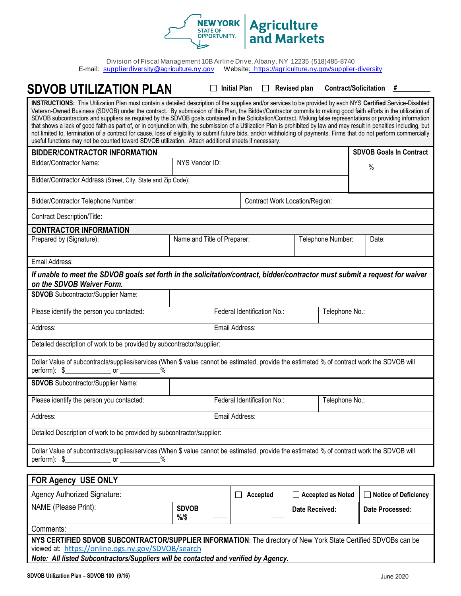

Division of Fiscal Management 10B Airline Drive, Albany, NY 12235 (518)485-8740<br>E-mail: supplierdiversity@agriculture.ny.gov Website: https://agriculture.ny.gov/supplier [Website: https://agriculture](mailto:mwbe@agriculture.ny.gov).ny.gov/supplier-diversity

## **SDVOB UTILIZATION PLAN Initial Plan Revised plan Contract/Solicitation** *#* **INSTRUCTIONS:** This Utilization Plan must contain a detailed description of the supplies and/or services to be provided by each NYS **Certified** Service-Disabled Veteran-Owned Business (SDVOB) under the contract. By submission of this Plan, the Bidder/Contractor commits to making good faith efforts in the utilization of SDVOB subcontractors and suppliers as required by the SDVOB goals contained in the Solicitation/Contract. Making false representations or providing information that shows a lack of good faith as part of, or in conjunction with, the submission of a Utilization Plan is prohibited by law and may result in penalties including, but not limited to, termination of a contract for cause, loss of eligibility to submit future bids, and/or withholding of payments. Firms that do not perform commercially useful functions may not be counted toward SDVOB utilization. Attach additional sheets if necessary. **BIDDER/CONTRACTOR INFORMATION SDVOB** Goals In Contract Bidder/Contractor Name: NYS Vendor ID: % Bidder/Contractor Address (Street, City, State and Zip Code): Bidder/Contractor Telephone Number: Contract Work Location/Region: Contract Description/Title: **CONTRACTOR INFORMATION** Prepared by (Signature): Name and Title of Preparer: Telephone Number: Date: Date: Email Address: *If unable to meet the SDVOB goals set forth in the solicitation/contract, bidder/contractor must submit a request for waiver on the SDVOB Waiver Form.* **SDVOB** Subcontractor/Supplier Name: Please identify the person you contacted: Federal Identification No.: **Federal Identification No.:** Felephone No.: Address: **Email Address: Email Address: Email Address:** Detailed description of work to be provided by subcontractor/supplier: Dollar Value of subcontracts/supplies/services (When \$ value cannot be estimated, provide the estimated % of contract work the SDVOB will perform): \$ or % **SDVOB** Subcontractor/Supplier Name: Please identify the person you contacted: Federal Identification No.: **Federal Identification No.:** Felephone No.: Address: Email Address: Detailed Description of work to be provided by subcontractor/supplier: Dollar Value of subcontracts/supplies/services (When \$ value cannot be estimated, provide the estimated % of contract work the SDVOB will perform): \$ or % **FOR Agency USE ONLY** Agency Authorized Signature: **Accepted Accepted Accepted Accepted Accepted Accepted Notice of Deficiency** NAME (Please Print): **SDVOB %/\$ Date Received: Date Processed:**

Comments:

**NYS CERTIFIED SDVOB SUBCONTRACTOR/SUPPLIER INFORMATION**: The directory of New York State Certified SDVOBs can be viewed at: <https://online.ogs.ny.gov/SDVOB/search>

*Note: All listed Subcontractors/Suppliers will be contacted and verified by Agency.*